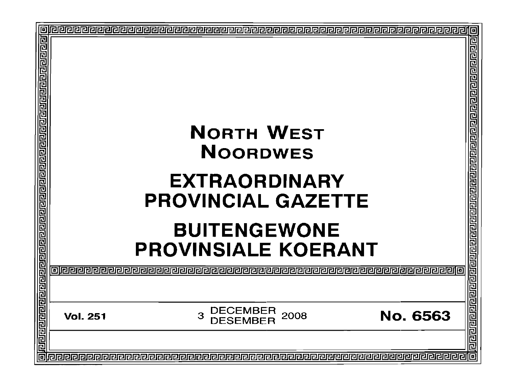| 回                                 |                                                                                                                                                |                                                                                                                                                        |
|-----------------------------------|------------------------------------------------------------------------------------------------------------------------------------------------|--------------------------------------------------------------------------------------------------------------------------------------------------------|
| <u>Jalajara a malajarajarajar</u> | <b>NORTH WEST</b><br><b>NOORDWES</b><br><b>EXTRAORDINARY</b><br><b>PROVINCIAL GAZETTE</b><br><b>BUITENGEWONE</b><br><b>PROVINSIALE KOERANT</b> | <u>गवागवान पर संस्थान जनसङ्ख्या प्राप्त प्राप्त प्राप्त प्राप्त प्राप्त प्राप्त प्राप्त प्राप्त प्राप्त प्राप्त प</u><br><u>olaaraa aaaaaaaaaaaaaa</u> |
|                                   |                                                                                                                                                |                                                                                                                                                        |
|                                   | <b>DECEMBER</b><br><b>No. 6563</b><br>2008<br>3<br><b>Vol. 251</b><br><b>DESEMBER</b>                                                          |                                                                                                                                                        |
|                                   |                                                                                                                                                |                                                                                                                                                        |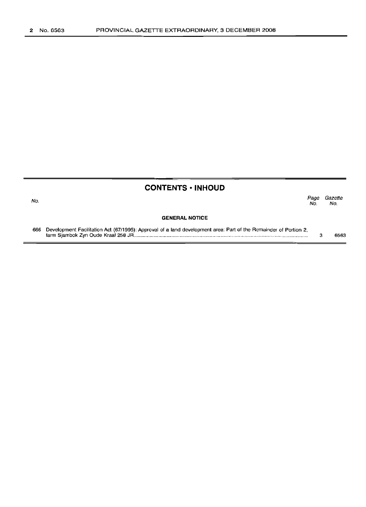# No. **CONTENTS • INHOUD GENERAL NOTICE** *Page Gazette* No. No. 666 Development Facilitation Act (67/1995): Approval of a land development area: Part of the Remainder of Portion 2, farm Sjambok Zyn Oude Kraal 258 JR .. 3 6563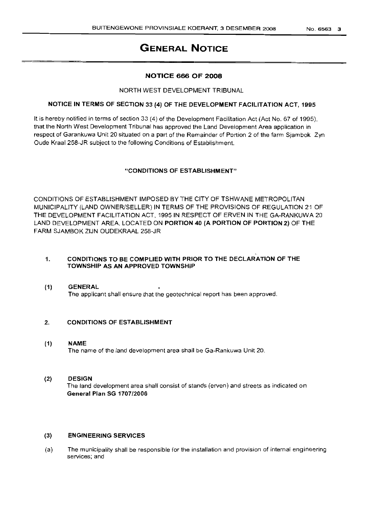# GENERAL NOTICE

# NOTICE 666 OF 2008

## NORTH WEST DEVELOPMENT TRIBUNAL

# NOTICE IN TERMS OF SECTION 33 (4) OF THE DEVELOPMENT FACILITATION ACT, 1995

It is hereby notified in terms of section 33 (4) of the Development Facilitation Act (Act No. 67 of 1995), that the North West Development Tribunal has approved the Land Development Area application in respect of Garankuwa Unit 20 situated on a part of the Remainder of Portion 2 of the farm Sjambok Zyn Oude Kraal 258-JR subject to the following Conditions of Establishment.

# "CONDITIONS OF ESTABLISHMENT"

CONDITIONS OF ESTABLISHMENT IMPOSED BY THE CITY OF TSHWANE METROPOLITAN MUNICIPALITY (LAND OWNER/SELLER) IN TERMS OF THE PROVISIONS OF REGULATION 21 OF THE DEVELOPMENT FACILITATION ACT, 1995 IN RESPECT OF ERVEN IN THE GA-RANKUWA 20 LAND DEVELOPMENT AREA, LOCATED ON PORTION 40 (A PORTION OF PORTION 2) OF THE FARM SJAMBOK ZIJN OUDEKRAAL 258-JR

## 1. CONDITIONS TO BE COMPLIED WITH PRIOR TO THE DECLARATION OF THE TOWNSHIP AS AN APPROVED TOWNSHIP

(1) GENERAL The applicant shall ensure that the geotechnical report has been approved.

## 2. CONDITIONS OF ESTABLISHMENT

# (1) NAME

The name of the land development area shall be Ga-Rankuwa Unit 20.

## (2) DESIGN

The land development area shall consist of stands (erven) and streets as indicated on General Plan SG 1707/2006

## (3) ENGINEERING SERVICES

(a) The municipality shall be responsible for the installation and provision of internal engineering services; and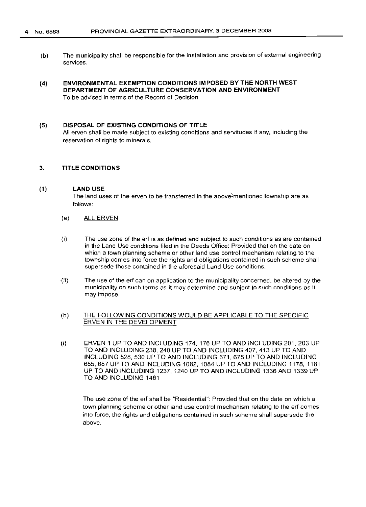- (b) The municipality shall be responsible for the installation and provision of external engineering services.
- (4) ENVIRONMENTAL EXEMPTION CONDITIONS IMPOSED BY THE NORTH WEST DEPARTMENT OF AGRICULTURE CONSERVATION AND ENVIRONMENT To be advised in terms of the Record of Decision.

# (5) DISPOSAL OF EXISTING CONDITIONS OF TITLE

All erven shall be made subject to existing conditions and servitudes if any, including the reservation of rights to minerals.

#### 3. TITLE CONDITIONS

#### (1) LAND USE

The land uses of the erven to be transferred in the above-mentioned township are as follows:

- (a) ALL ERVEN
- (i) The use zone of the erf is as defined and subject to such conditions as are contained in the Land Use conditions filed in the Deeds Office: Provided that on the date on which a town planning scheme or other land use control mechanism relating to the township comes into force the rights and obligations contained in such scheme shall supersede those contained in the aforesaid Land Use conditions.
- (ii) The use of the erf can on application to the municipality concerned, be altered by the municipality on such terms as it may determine and subject to such conditions as it may impose.

#### (b) THE FOLLOWING CONDITIONS WOULD BE APPLICABLE TO THE SPECIFIC ERVEN IN THE DEVELOPMENT

(i) ERVEN 1 UP TO AND INCLUDING 174, 176 UP TO AND INCLUDING 201, 203 UP TO AND INCLUDING 238,240 UP TO AND INCLUDING 407, 413 UP TO AND INCLUDING 528, 530 UP TO AND INCLUDING 671, 675 UP TO AND INCLUDING 685,687 UP TO AND INCLUDING 1082,1084 UP TO AND INCLUDING 1178,1181 UP TO AND INCLUDING 1237, 1240 UP TO AND INCLUDING 1336 AND 1339 UP TO AND INCLUDING 1461

The use zone of the erf shall be "Residential": Provided that on the date on which a town planning scheme or other land use control mechanism relating to the erf comes into force, the rights and obligations contained in such scheme shall supersede the above.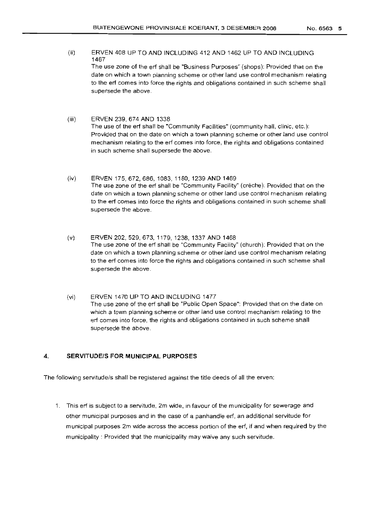(ii) ERVEN 408 UP TO AND INCLUDING 412 AND 1462 UP TO AND INCLUDING 1467

The use zone of the erf shall be "Business Purposes" (shops): Provided that on the date on which a town planning scheme or other land use control mechanism relating to the erf comes into force the rights and obligations contained in such scheme shall supersede the above.

- (iii) ERVEN 239, 674 AND 1338 The use of the erf shall be "Community Facilities" (community hall, clinic, etc.): Provided that on the date on which a town planning scheme or other land use control mechanism relating to the erf comes into force, the rights and obligations contained in such scheme shall supersede the above.
- (iv) ERVEN 175,672,686, 1083, 1180, 1239 AND 1469 The use zone of the erf shall be "Community Facility" (creche): Provided that on the date on which a town planning scheme or other land use control mechanism relating to the erf comes into force the rights and obligations contained in such scheme shall supersede the above.
- (v) ERVEN 202, 529, 673, 1179, 1238, 1337 AND 1468 The use zone of the erf shall be "Community Facility" (church): Provided that on the date on which a town planning scheme or other land use control mechanism relating to the erf comes into force the rights and obligations contained in such scheme shall supersede the above.
- (vi) ERVEN 1470 UP TO AND INCLUDING 1477 The use zone of the erf shall be "Public Open Space": Provided that on the date on which a town planning scheme or other land use control mechanism relating to the erf comes into force, the rights and obligations contained in such scheme shall supersede the above.

#### 4. **SERVITUDE/S FOR MUNICIPAL PURPOSES**

The following servitude/s shall be registered against the title deeds of all the erven:

1. This erf is subject to a servitude, 2m wide, in favour of the municipality for sewerage and other municipal purposes and in the case of a panhandle erf, an additional servitude for municipal purposes 2m wide across the access portion of the erf, if and when required by the municipality: Provided that the municipality may waive any such servitude.